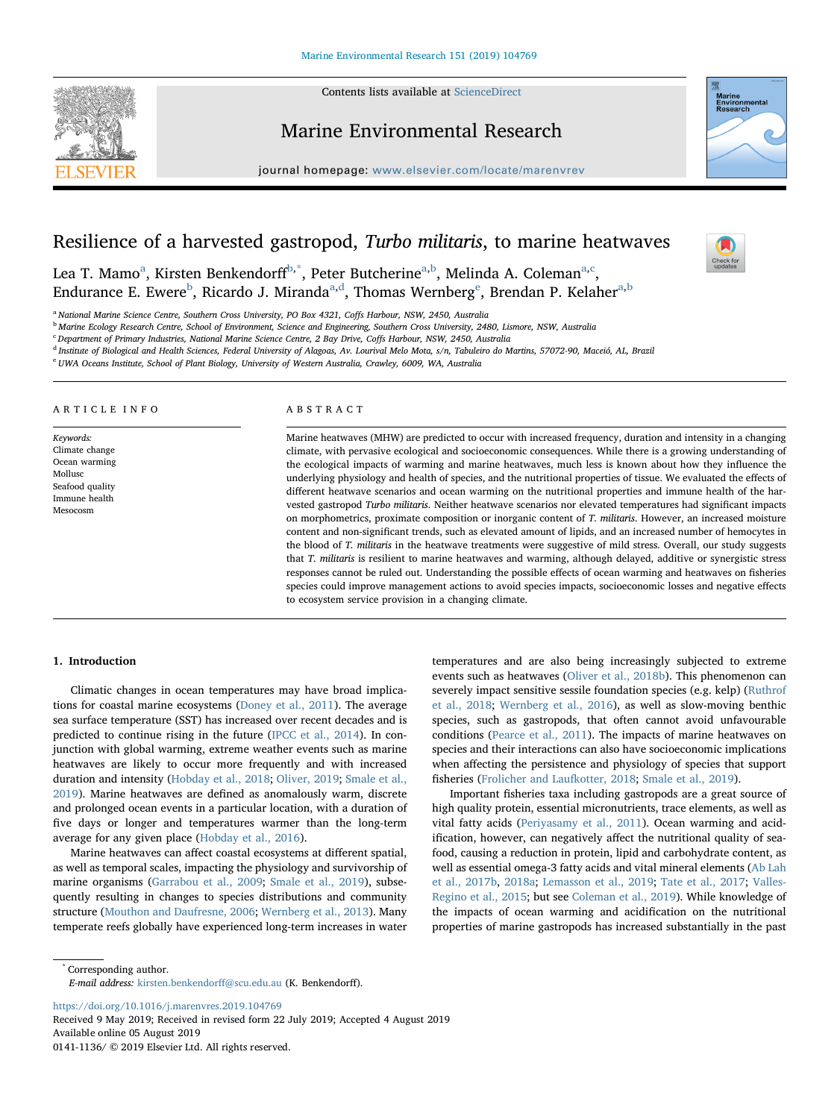Contents lists available at [ScienceDirect](http://www.sciencedirect.com/science/journal/01411136)



Marine Environmental Research

journal homepage: [www.elsevier.com/locate/marenvrev](https://www.elsevier.com/locate/marenvrev)



 $\frac{N}{2}$ 

# Resilience of a harvested gastropod, Turbo militaris, to marine heatwaves

Le[a](#page-0-0) T. Mamo<sup>a</sup>, Kirsten Benkendorff<sup>[b](#page-0-1)[,\\*](#page-0-2)</sup>, Peter Butcherine<sup>a[,b](#page-0-1)</sup>, Melinda A. Coleman<sup>a,[c](#page-0-3)</sup>, Endurance E. Ewere<sup>[b](#page-0-1)</sup>, Ricardo J. Miranda<sup>[a,](#page-0-0)[d](#page-0-4)</sup>, Thomas W[e](#page-0-5)rnberg<sup>e</sup>, Brend[a](#page-0-0)n P. Kelaher<sup>a,b</sup>

<span id="page-0-0"></span><sup>a</sup> National Marine Science Centre, Southern Cross University, PO Box 4321, Coffs Harbour, NSW, 2450, Australia

<span id="page-0-1"></span>**b Marine Ecology Research Centre, School of Environment, Science and Engineering, Southern Cross University, 2480, Lismore, NSW, Australia** 

<span id="page-0-3"></span><sup>c</sup> Department of Primary Industries, National Marine Science Centre, 2 Bay Drive, Coffs Harbour, NSW, 2450, Australia

<span id="page-0-4"></span><sup>d</sup> Institute of Biological and Health Sciences, Federal University of Alagoas, Av. Lourival Melo Mota, s/n, Tabuleiro do Martins, 57072-90, Maceió, AL, Brazil

<span id="page-0-5"></span><sup>e</sup> UWA Oceans Institute, School of Plant Biology, University of Western Australia, Crawley, 6009, WA, Australia

## ARTICLE INFO

Keywords: Climate change Ocean warming Mollusc Seafood quality Immune health Mesocosm

## ABSTRACT

Marine heatwaves (MHW) are predicted to occur with increased frequency, duration and intensity in a changing climate, with pervasive ecological and socioeconomic consequences. While there is a growing understanding of the ecological impacts of warming and marine heatwaves, much less is known about how they influence the underlying physiology and health of species, and the nutritional properties of tissue. We evaluated the effects of different heatwave scenarios and ocean warming on the nutritional properties and immune health of the harvested gastropod Turbo militaris. Neither heatwave scenarios nor elevated temperatures had significant impacts on morphometrics, proximate composition or inorganic content of T. militaris. However, an increased moisture content and non-significant trends, such as elevated amount of lipids, and an increased number of hemocytes in the blood of T. militaris in the heatwave treatments were suggestive of mild stress. Overall, our study suggests that T. militaris is resilient to marine heatwaves and warming, although delayed, additive or synergistic stress responses cannot be ruled out. Understanding the possible effects of ocean warming and heatwaves on fisheries species could improve management actions to avoid species impacts, socioeconomic losses and negative effects to ecosystem service provision in a changing climate.

# 1. Introduction

Climatic changes in ocean temperatures may have broad implications for coastal marine ecosystems [\(Doney et al., 2011\)](#page-6-0). The average sea surface temperature (SST) has increased over recent decades and is predicted to continue rising in the future ([IPCC et al., 2014\)](#page-7-0). In conjunction with global warming, extreme weather events such as marine heatwaves are likely to occur more frequently and with increased duration and intensity ([Hobday et al., 2018;](#page-7-1) [Oliver, 2019;](#page-7-2) [Smale et al.,](#page-7-3) [2019\)](#page-7-3). Marine heatwaves are defined as anomalously warm, discrete and prolonged ocean events in a particular location, with a duration of five days or longer and temperatures warmer than the long-term average for any given place ([Hobday et al., 2016\)](#page-7-4).

Marine heatwaves can affect coastal ecosystems at different spatial, as well as temporal scales, impacting the physiology and survivorship of marine organisms ([Garrabou et al., 2009](#page-7-5); [Smale et al., 2019](#page-7-3)), subsequently resulting in changes to species distributions and community structure [\(Mouthon and Daufresne, 2006](#page-7-6); [Wernberg et al., 2013\)](#page-7-7). Many temperate reefs globally have experienced long-term increases in water temperatures and are also being increasingly subjected to extreme events such as heatwaves [\(Oliver et al., 2018b\)](#page-7-8). This phenomenon can severely impact sensitive sessile foundation species (e.g. kelp) ([Ruthrof](#page-7-9) [et al., 2018;](#page-7-9) [Wernberg et al., 2016\)](#page-7-10), as well as slow-moving benthic species, such as gastropods, that often cannot avoid unfavourable conditions [\(Pearce et al., 2011\)](#page-7-11). The impacts of marine heatwaves on species and their interactions can also have socioeconomic implications when affecting the persistence and physiology of species that support fisheries ([Frolicher and Laufkotter, 2018](#page-7-12); [Smale et al., 2019\)](#page-7-3).

Important fisheries taxa including gastropods are a great source of high quality protein, essential micronutrients, trace elements, as well as vital fatty acids [\(Periyasamy et al., 2011](#page-7-13)). Ocean warming and acidification, however, can negatively affect the nutritional quality of seafood, causing a reduction in protein, lipid and carbohydrate content, as well as essential omega-3 fatty acids and vital mineral elements [\(Ab Lah](#page-6-1) [et al., 2017b](#page-6-1), [2018a;](#page-6-2) [Lemasson et al., 2019;](#page-7-14) [Tate et al., 2017;](#page-7-15) [Valles-](#page-7-16)[Regino et al., 2015;](#page-7-16) but see [Coleman et al., 2019](#page-6-3)). While knowledge of the impacts of ocean warming and acidification on the nutritional properties of marine gastropods has increased substantially in the past

<span id="page-0-2"></span>\* Corresponding author.

E-mail address: [kirsten.benkendor](mailto:kirsten.benkendorff@scu.edu.au)ff@scu.edu.au (K. Benkendorff).

<https://doi.org/10.1016/j.marenvres.2019.104769>

Received 9 May 2019; Received in revised form 22 July 2019; Accepted 4 August 2019 Available online 05 August 2019

0141-1136/ © 2019 Elsevier Ltd. All rights reserved.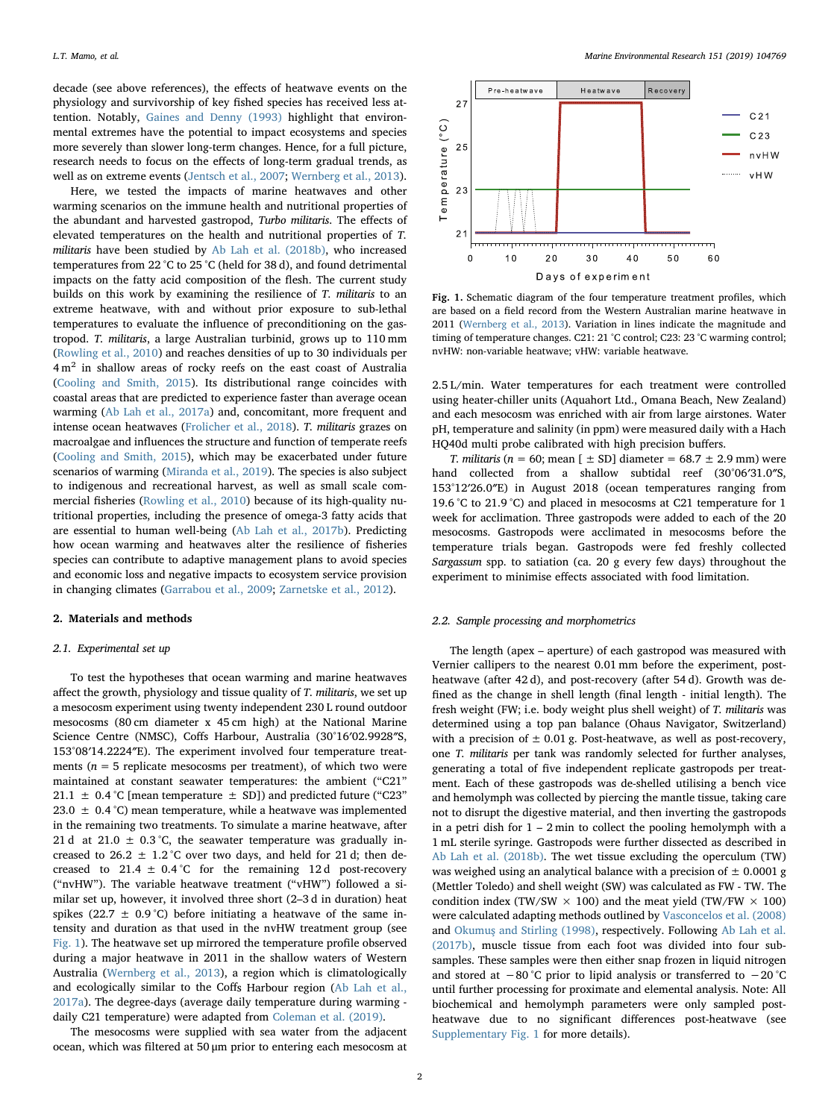decade (see above references), the effects of heatwave events on the physiology and survivorship of key fished species has received less attention. Notably, [Gaines and Denny \(1993\)](#page-7-17) highlight that environmental extremes have the potential to impact ecosystems and species more severely than slower long-term changes. Hence, for a full picture, research needs to focus on the effects of long-term gradual trends, as well as on extreme events ([Jentsch et al., 2007](#page-7-18); [Wernberg et al., 2013](#page-7-7)).

Here, we tested the impacts of marine heatwaves and other warming scenarios on the immune health and nutritional properties of the abundant and harvested gastropod, Turbo militaris. The effects of elevated temperatures on the health and nutritional properties of T. militaris have been studied by [Ab Lah et al. \(2018b\),](#page-6-4) who increased temperatures from 22 °C to 25 °C (held for 38 d), and found detrimental impacts on the fatty acid composition of the flesh. The current study builds on this work by examining the resilience of T. militaris to an extreme heatwave, with and without prior exposure to sub-lethal temperatures to evaluate the influence of preconditioning on the gastropod. T. militaris, a large Australian turbinid, grows up to 110 mm ([Rowling et al., 2010](#page-7-19)) and reaches densities of up to 30 individuals per  $4 \text{ m}^2$  in shallow areas of rocky reefs on the east coast of Australia ([Cooling and Smith, 2015\)](#page-6-5). Its distributional range coincides with coastal areas that are predicted to experience faster than average ocean warming ([Ab Lah et al., 2017a\)](#page-6-6) and, concomitant, more frequent and intense ocean heatwaves ([Frolicher et al., 2018](#page-7-20)). T. militaris grazes on macroalgae and influences the structure and function of temperate reefs ([Cooling and Smith, 2015](#page-6-5)), which may be exacerbated under future scenarios of warming [\(Miranda et al., 2019\)](#page-7-21). The species is also subject to indigenous and recreational harvest, as well as small scale commercial fisheries ([Rowling et al., 2010\)](#page-7-19) because of its high-quality nutritional properties, including the presence of omega-3 fatty acids that are essential to human well-being ([Ab Lah et al., 2017b\)](#page-6-1). Predicting how ocean warming and heatwaves alter the resilience of fisheries species can contribute to adaptive management plans to avoid species and economic loss and negative impacts to ecosystem service provision in changing climates ([Garrabou et al., 2009](#page-7-5); [Zarnetske et al., 2012\)](#page-7-22).

# 2. Materials and methods

# 2.1. Experimental set up

To test the hypotheses that ocean warming and marine heatwaves affect the growth, physiology and tissue quality of T. militaris, we set up a mesocosm experiment using twenty independent 230 L round outdoor mesocosms (80 cm diameter x 45 cm high) at the National Marine Science Centre (NMSC), Coffs Harbour, Australia (30°16′02.9928″S, 153°08′14.2224″E). The experiment involved four temperature treatments ( $n = 5$  replicate mesocosms per treatment), of which two were maintained at constant seawater temperatures: the ambient ("C21" 21.1  $\pm$  0.4 °C [mean temperature  $\pm$  SD]) and predicted future ("C23" 23.0  $\pm$  0.4 °C) mean temperature, while a heatwave was implemented in the remaining two treatments. To simulate a marine heatwave, after 21 d at 21.0  $\pm$  0.3 °C, the seawater temperature was gradually increased to 26.2  $\pm$  1.2 °C over two days, and held for 21 d; then decreased to 21.4  $\pm$  0.4 °C for the remaining 12d post-recovery ("nvHW"). The variable heatwave treatment ("vHW") followed a similar set up, however, it involved three short (2–3 d in duration) heat spikes (22.7  $\pm$  0.9 °C) before initiating a heatwave of the same intensity and duration as that used in the nvHW treatment group (see [Fig. 1](#page-1-0)). The heatwave set up mirrored the temperature profile observed during a major heatwave in 2011 in the shallow waters of Western Australia ([Wernberg et al., 2013](#page-7-7)), a region which is climatologically and ecologically similar to the Coffs Harbour region (Ab [Lah et al.,](#page-6-6) [2017a\)](#page-6-6). The degree-days (average daily temperature during warming daily C21 temperature) were adapted from [Coleman et al. \(2019\).](#page-6-3)

The mesocosms were supplied with sea water from the adjacent ocean, which was filtered at 50 μm prior to entering each mesocosm at

<span id="page-1-0"></span>

Fig. 1. Schematic diagram of the four temperature treatment profiles, which are based on a field record from the Western Australian marine heatwave in 2011 [\(Wernberg et al., 2013](#page-7-7)). Variation in lines indicate the magnitude and timing of temperature changes. C21: 21 °C control; C23: 23 °C warming control; nvHW: non-variable heatwave; vHW: variable heatwave.

2.5 L/min. Water temperatures for each treatment were controlled using heater-chiller units (Aquahort Ltd., Omana Beach, New Zealand) and each mesocosm was enriched with air from large airstones. Water pH, temperature and salinity (in ppm) were measured daily with a Hach HQ40d multi probe calibrated with high precision buffers.

T. militaris ( $n = 60$ ; mean  $[\pm SD]$  diameter = 68.7  $\pm$  2.9 mm) were hand collected from a shallow subtidal reef (30°06′31.0″S, 153°12′26.0″E) in August 2018 (ocean temperatures ranging from 19.6 °C to 21.9 °C) and placed in mesocosms at C21 temperature for 1 week for acclimation. Three gastropods were added to each of the 20 mesocosms. Gastropods were acclimated in mesocosms before the temperature trials began. Gastropods were fed freshly collected Sargassum spp. to satiation (ca. 20 g every few days) throughout the experiment to minimise effects associated with food limitation.

## 2.2. Sample processing and morphometrics

The length (apex – aperture) of each gastropod was measured with Vernier callipers to the nearest 0.01 mm before the experiment, postheatwave (after 42 d), and post-recovery (after 54 d). Growth was defined as the change in shell length (final length - initial length). The fresh weight (FW; i.e. body weight plus shell weight) of T. militaris was determined using a top pan balance (Ohaus Navigator, Switzerland) with a precision of  $\pm$  0.01 g. Post-heatwave, as well as post-recovery, one T. militaris per tank was randomly selected for further analyses, generating a total of five independent replicate gastropods per treatment. Each of these gastropods was de-shelled utilising a bench vice and hemolymph was collected by piercing the mantle tissue, taking care not to disrupt the digestive material, and then inverting the gastropods in a petri dish for  $1 - 2$  min to collect the pooling hemolymph with a 1 mL sterile syringe. Gastropods were further dissected as described in [Ab Lah et al. \(2018b\).](#page-6-4) The wet tissue excluding the operculum (TW) was weighed using an analytical balance with a precision of  $\pm$  0.0001 g (Mettler Toledo) and shell weight (SW) was calculated as FW - TW. The condition index (TW/SW  $\times$  100) and the meat yield (TW/FW  $\times$  100) were calculated adapting methods outlined by [Vasconcelos et al. \(2008\)](#page-7-23) and Okumuş [and Stirling \(1998\)](#page-7-24), respectively. Following [Ab Lah et al.](#page-6-1) [\(2017b\),](#page-6-1) muscle tissue from each foot was divided into four subsamples. These samples were then either snap frozen in liquid nitrogen and stored at −80 °C prior to lipid analysis or transferred to −20 °C until further processing for proximate and elemental analysis. Note: All biochemical and hemolymph parameters were only sampled postheatwave due to no significant differences post-heatwave (see Supplementary Fig. 1 for more details).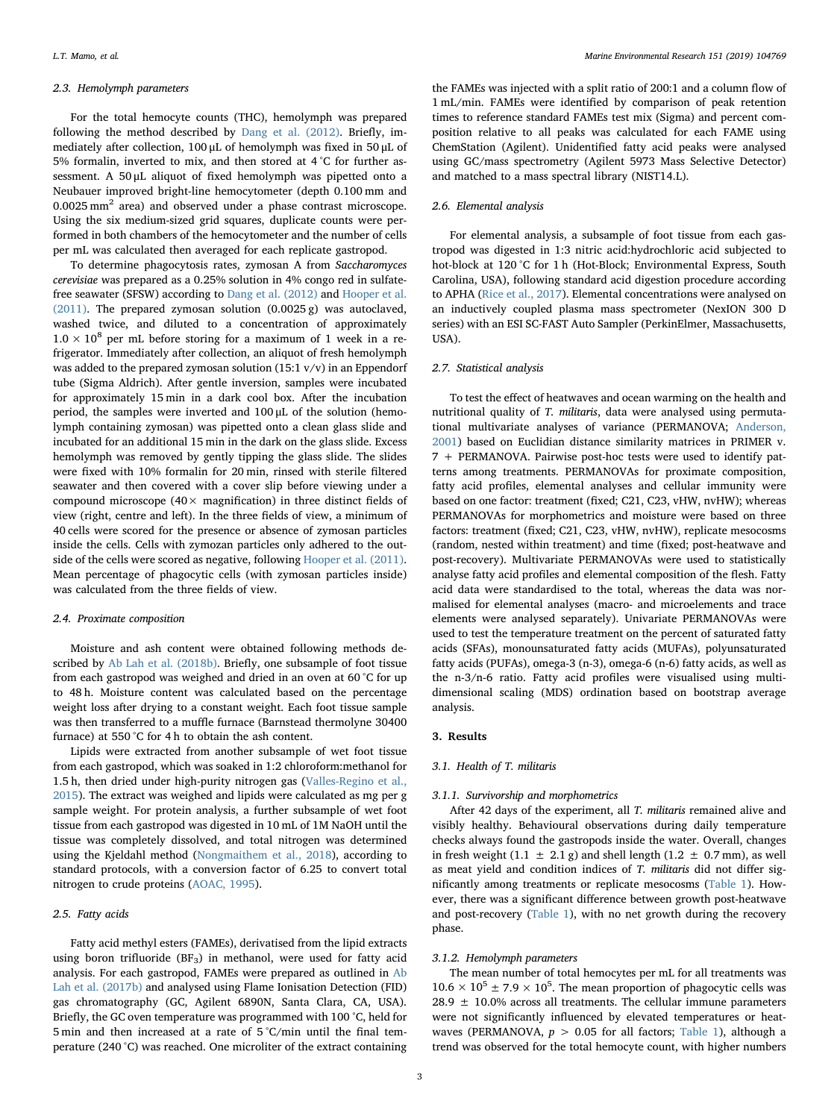## 2.3. Hemolymph parameters

For the total hemocyte counts (THC), hemolymph was prepared following the method described by [Dang et al. \(2012\).](#page-6-7) Briefly, immediately after collection, 100 μL of hemolymph was fixed in 50 μL of 5% formalin, inverted to mix, and then stored at 4 °C for further assessment. A 50 μL aliquot of fixed hemolymph was pipetted onto a Neubauer improved bright-line hemocytometer (depth 0.100 mm and 0.0025 mm2 area) and observed under a phase contrast microscope. Using the six medium-sized grid squares, duplicate counts were performed in both chambers of the hemocytometer and the number of cells per mL was calculated then averaged for each replicate gastropod.

To determine phagocytosis rates, zymosan A from Saccharomyces cerevisiae was prepared as a 0.25% solution in 4% congo red in sulfatefree seawater (SFSW) according to [Dang et al. \(2012\)](#page-6-7) and [Hooper et al.](#page-7-25) [\(2011\).](#page-7-25) The prepared zymosan solution (0.0025 g) was autoclaved, washed twice, and diluted to a concentration of approximately  $1.0 \times 10^8$  per mL before storing for a maximum of 1 week in a refrigerator. Immediately after collection, an aliquot of fresh hemolymph was added to the prepared zymosan solution (15:1  $v/v$ ) in an Eppendorf tube (Sigma Aldrich). After gentle inversion, samples were incubated for approximately 15 min in a dark cool box. After the incubation period, the samples were inverted and 100 μL of the solution (hemolymph containing zymosan) was pipetted onto a clean glass slide and incubated for an additional 15 min in the dark on the glass slide. Excess hemolymph was removed by gently tipping the glass slide. The slides were fixed with 10% formalin for 20 min, rinsed with sterile filtered seawater and then covered with a cover slip before viewing under a compound microscope (40 $\times$  magnification) in three distinct fields of view (right, centre and left). In the three fields of view, a minimum of 40 cells were scored for the presence or absence of zymosan particles inside the cells. Cells with zymozan particles only adhered to the outside of the cells were scored as negative, following [Hooper et al. \(2011\)](#page-7-25). Mean percentage of phagocytic cells (with zymosan particles inside) was calculated from the three fields of view.

## 2.4. Proximate composition

Moisture and ash content were obtained following methods described by [Ab Lah et al. \(2018b\)](#page-6-4). Briefly, one subsample of foot tissue from each gastropod was weighed and dried in an oven at 60 °C for up to 48 h. Moisture content was calculated based on the percentage weight loss after drying to a constant weight. Each foot tissue sample was then transferred to a muffle furnace (Barnstead thermolyne 30400 furnace) at 550 °C for 4 h to obtain the ash content.

Lipids were extracted from another subsample of wet foot tissue from each gastropod, which was soaked in 1:2 chloroform:methanol for 1.5 h, then dried under high-purity nitrogen gas ([Valles-Regino et al.,](#page-7-16) [2015\)](#page-7-16). The extract was weighed and lipids were calculated as mg per g sample weight. For protein analysis, a further subsample of wet foot tissue from each gastropod was digested in 10 mL of 1M NaOH until the tissue was completely dissolved, and total nitrogen was determined using the Kjeldahl method ([Nongmaithem et al., 2018](#page-7-26)), according to standard protocols, with a conversion factor of 6.25 to convert total nitrogen to crude proteins [\(AOAC, 1995\)](#page-6-8).

# 2.5. Fatty acids

Fatty acid methyl esters (FAMEs), derivatised from the lipid extracts using boron trifluoride  $(BF_3)$  in methanol, were used for fatty acid analysis. For each gastropod, FAMEs were prepared as outlined in [Ab](#page-6-1) [Lah et al. \(2017b\)](#page-6-1) and analysed using Flame Ionisation Detection (FID) gas chromatography (GC, Agilent 6890N, Santa Clara, CA, USA). Briefly, the GC oven temperature was programmed with 100 °C, held for 5 min and then increased at a rate of 5 °C/min until the final temperature (240 °C) was reached. One microliter of the extract containing

the FAMEs was injected with a split ratio of 200:1 and a column flow of 1 mL/min. FAMEs were identified by comparison of peak retention times to reference standard FAMEs test mix (Sigma) and percent composition relative to all peaks was calculated for each FAME using ChemStation (Agilent). Unidentified fatty acid peaks were analysed using GC/mass spectrometry (Agilent 5973 Mass Selective Detector) and matched to a mass spectral library (NIST14.L).

# 2.6. Elemental analysis

For elemental analysis, a subsample of foot tissue from each gastropod was digested in 1:3 nitric acid:hydrochloric acid subjected to hot-block at 120 °C for 1 h (Hot-Block: Environmental Express, South Carolina, USA), following standard acid digestion procedure according to APHA ([Rice et al., 2017\)](#page-7-27). Elemental concentrations were analysed on an inductively coupled plasma mass spectrometer (NexION 300 D series) with an ESI SC-FAST Auto Sampler (PerkinElmer, Massachusetts, USA).

#### 2.7. Statistical analysis

To test the effect of heatwaves and ocean warming on the health and nutritional quality of T. militaris, data were analysed using permutational multivariate analyses of variance (PERMANOVA; [Anderson,](#page-6-9) [2001\)](#page-6-9) based on Euclidian distance similarity matrices in PRIMER v. 7 + PERMANOVA. Pairwise post-hoc tests were used to identify patterns among treatments. PERMANOVAs for proximate composition, fatty acid profiles, elemental analyses and cellular immunity were based on one factor: treatment (fixed; C21, C23, vHW, nvHW); whereas PERMANOVAs for morphometrics and moisture were based on three factors: treatment (fixed; C21, C23, vHW, nvHW), replicate mesocosms (random, nested within treatment) and time (fixed; post-heatwave and post-recovery). Multivariate PERMANOVAs were used to statistically analyse fatty acid profiles and elemental composition of the flesh. Fatty acid data were standardised to the total, whereas the data was normalised for elemental analyses (macro- and microelements and trace elements were analysed separately). Univariate PERMANOVAs were used to test the temperature treatment on the percent of saturated fatty acids (SFAs), monounsaturated fatty acids (MUFAs), polyunsaturated fatty acids (PUFAs), omega-3 (n-3), omega-6 (n-6) fatty acids, as well as the n-3/n-6 ratio. Fatty acid profiles were visualised using multidimensional scaling (MDS) ordination based on bootstrap average analysis.

## 3. Results

## 3.1. Health of T. militaris

### 3.1.1. Survivorship and morphometrics

After 42 days of the experiment, all T. militaris remained alive and visibly healthy. Behavioural observations during daily temperature checks always found the gastropods inside the water. Overall, changes in fresh weight (1.1  $\pm$  2.1 g) and shell length (1.2  $\pm$  0.7 mm), as well as meat yield and condition indices of T. militaris did not differ significantly among treatments or replicate mesocosms ([Table 1\)](#page-3-0). However, there was a significant difference between growth post-heatwave and post-recovery ([Table 1\)](#page-3-0), with no net growth during the recovery phase.

# 3.1.2. Hemolymph parameters

The mean number of total hemocytes per mL for all treatments was  $10.6 \times 10^5 \pm 7.9 \times 10^5$ . The mean proportion of phagocytic cells was  $28.9 \pm 10.0\%$  across all treatments. The cellular immune parameters were not significantly influenced by elevated temperatures or heatwaves (PERMANOVA,  $p > 0.05$  for all factors; [Table 1\)](#page-3-0), although a trend was observed for the total hemocyte count, with higher numbers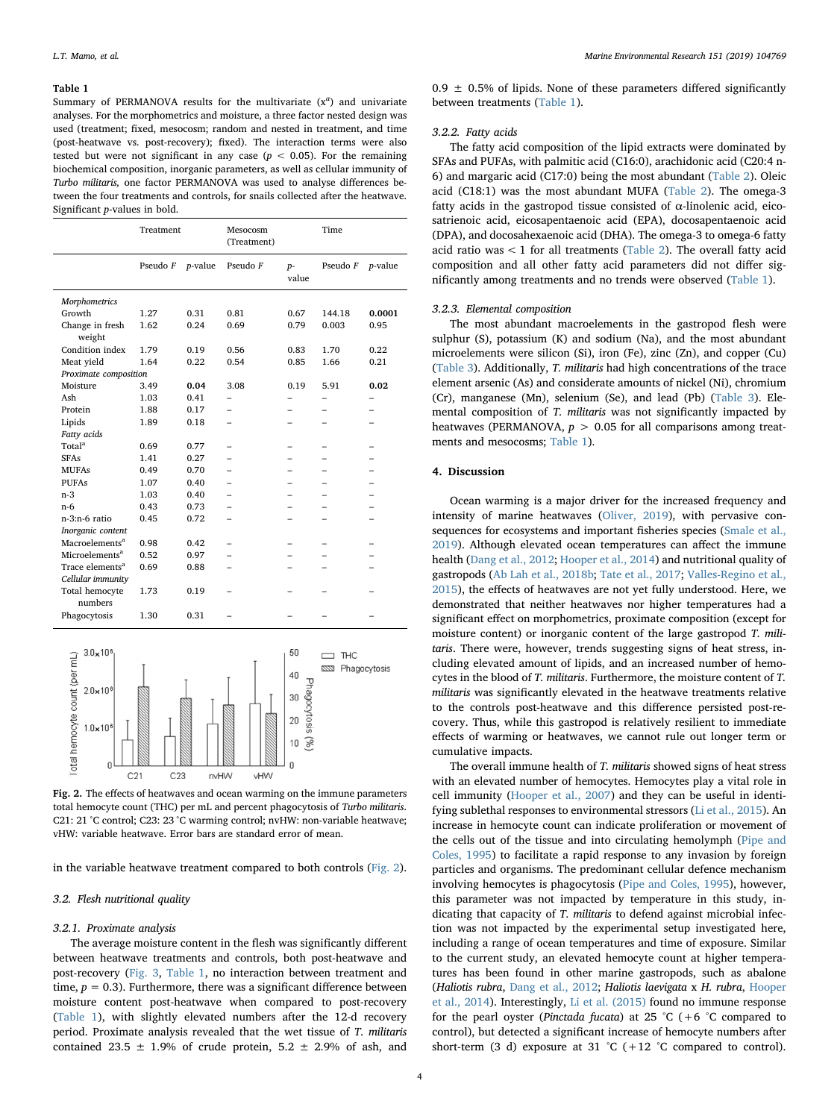## <span id="page-3-0"></span>Table 1

Summary of PERMANOVA results for the multivariate  $(x^a)$  and univariate analyses. For the morphometrics and moisture, a three factor nested design was used (treatment; fixed, mesocosm; random and nested in treatment, and time (post-heatwave vs. post-recovery); fixed). The interaction terms were also tested but were not significant in any case ( $p < 0.05$ ). For the remaining biochemical composition, inorganic parameters, as well as cellular immunity of Turbo militaris, one factor PERMANOVA was used to analyse differences between the four treatments and controls, for snails collected after the heatwave. Significant p-values in bold.

|                             | Treatment |            | Mesocosm<br>(Treatment) |               | Time     |         |  |  |
|-----------------------------|-----------|------------|-------------------------|---------------|----------|---------|--|--|
|                             | Pseudo F  | $p$ -value | Pseudo F                | $p-$<br>value | Pseudo F | p-value |  |  |
| Morphometrics               |           |            |                         |               |          |         |  |  |
| Growth                      | 1.27      | 0.31       | 0.81                    | 0.67          | 144.18   | 0.0001  |  |  |
| Change in fresh<br>weight   | 1.62      | 0.24       | 0.69                    | 0.79          | 0.003    | 0.95    |  |  |
| Condition index             | 1.79      | 0.19       | 0.56                    | 0.83          | 1.70     | 0.22    |  |  |
| Meat yield                  | 1.64      | 0.22       | 0.54                    | 0.85          | 1.66     | 0.21    |  |  |
| Proximate composition       |           |            |                         |               |          |         |  |  |
| Moisture                    | 3.49      | 0.04       | 3.08                    | 0.19          | 5.91     | 0.02    |  |  |
| Ash                         | 1.03      | 0.41       |                         |               |          |         |  |  |
| Protein                     | 1.88      | 0.17       |                         |               |          |         |  |  |
| Lipids                      | 1.89      | 0.18       |                         |               |          |         |  |  |
| Fatty acids                 |           |            |                         |               |          |         |  |  |
| Total <sup>a</sup>          | 0.69      | 0.77       |                         |               |          |         |  |  |
| <b>SFAs</b>                 | 1.41      | 0.27       |                         |               |          |         |  |  |
| <b>MUFAs</b>                | 0.49      | 0.70       |                         |               |          |         |  |  |
| <b>PUFAs</b>                | 1.07      | 0.40       |                         |               |          |         |  |  |
| $n-3$                       | 1.03      | 0.40       |                         |               |          |         |  |  |
| $n-6$                       | 0.43      | 0.73       |                         |               |          |         |  |  |
| n-3:n-6 ratio               | 0.45      | 0.72       |                         |               |          |         |  |  |
| Inorganic content           |           |            |                         |               |          |         |  |  |
| Macroelements <sup>a</sup>  | 0.98      | 0.42       |                         |               |          |         |  |  |
| Microelements <sup>a</sup>  | 0.52      | 0.97       |                         |               |          |         |  |  |
| Trace elements <sup>a</sup> | 0.69      | 0.88       |                         |               |          |         |  |  |
| Cellular immunity           |           |            |                         |               |          |         |  |  |
| Total hemocyte<br>numbers   | 1.73      | 0.19       |                         |               |          |         |  |  |
| Phagocytosis                | 1.30      | 0.31       |                         |               |          |         |  |  |

<span id="page-3-1"></span>

Fig. 2. The effects of heatwaves and ocean warming on the immune parameters total hemocyte count (THC) per mL and percent phagocytosis of Turbo militaris. C21: 21 °C control; C23: 23 °C warming control; nvHW: non-variable heatwave; vHW: variable heatwave. Error bars are standard error of mean.

in the variable heatwave treatment compared to both controls [\(Fig. 2](#page-3-1)).

#### 3.2. Flesh nutritional quality

## 3.2.1. Proximate analysis

The average moisture content in the flesh was significantly different between heatwave treatments and controls, both post-heatwave and post-recovery ([Fig. 3,](#page-4-0) [Table 1](#page-3-0), no interaction between treatment and time,  $p = 0.3$ ). Furthermore, there was a significant difference between moisture content post-heatwave when compared to post-recovery ([Table 1](#page-3-0)), with slightly elevated numbers after the 12-d recovery period. Proximate analysis revealed that the wet tissue of T. militaris contained 23.5  $\pm$  1.9% of crude protein, 5.2  $\pm$  2.9% of ash, and  $0.9 \pm 0.5\%$  of lipids. None of these parameters differed significantly between treatments [\(Table 1\)](#page-3-0).

# 3.2.2. Fatty acids

The fatty acid composition of the lipid extracts were dominated by SFAs and PUFAs, with palmitic acid (C16:0), arachidonic acid (C20:4 n-6) and margaric acid (C17:0) being the most abundant [\(Table 2\)](#page-4-1). Oleic acid (C18:1) was the most abundant MUFA ([Table 2\)](#page-4-1). The omega-3 fatty acids in the gastropod tissue consisted of  $\alpha$ -linolenic acid, eicosatrienoic acid, eicosapentaenoic acid (EPA), docosapentaenoic acid (DPA), and docosahexaenoic acid (DHA). The omega-3 to omega-6 fatty acid ratio was  $< 1$  for all treatments ([Table 2\)](#page-4-1). The overall fatty acid composition and all other fatty acid parameters did not differ significantly among treatments and no trends were observed [\(Table 1](#page-3-0)).

# 3.2.3. Elemental composition

The most abundant macroelements in the gastropod flesh were sulphur (S), potassium (K) and sodium (Na), and the most abundant microelements were silicon (Si), iron (Fe), zinc (Zn), and copper (Cu) ([Table 3\)](#page-5-0). Additionally, T. militaris had high concentrations of the trace element arsenic (As) and considerate amounts of nickel (Ni), chromium (Cr), manganese (Mn), selenium (Se), and lead (Pb) [\(Table 3](#page-5-0)). Elemental composition of T. militaris was not significantly impacted by heatwaves (PERMANOVA,  $p > 0.05$  for all comparisons among treatments and mesocosms; [Table 1\)](#page-3-0).

#### 4. Discussion

Ocean warming is a major driver for the increased frequency and intensity of marine heatwaves [\(Oliver, 2019](#page-7-2)), with pervasive consequences for ecosystems and important fisheries species ([Smale et al.,](#page-7-3) [2019\)](#page-7-3). Although elevated ocean temperatures can affect the immune health ([Dang et al., 2012](#page-6-7); [Hooper et al., 2014\)](#page-7-28) and nutritional quality of gastropods ([Ab Lah et al., 2018b](#page-6-4); [Tate et al., 2017](#page-7-15); [Valles-Regino et al.,](#page-7-16) [2015\)](#page-7-16), the effects of heatwaves are not yet fully understood. Here, we demonstrated that neither heatwaves nor higher temperatures had a significant effect on morphometrics, proximate composition (except for moisture content) or inorganic content of the large gastropod T. militaris. There were, however, trends suggesting signs of heat stress, including elevated amount of lipids, and an increased number of hemocytes in the blood of T. militaris. Furthermore, the moisture content of T. militaris was significantly elevated in the heatwave treatments relative to the controls post-heatwave and this difference persisted post-recovery. Thus, while this gastropod is relatively resilient to immediate effects of warming or heatwaves, we cannot rule out longer term or cumulative impacts.

The overall immune health of T. militaris showed signs of heat stress with an elevated number of hemocytes. Hemocytes play a vital role in cell immunity [\(Hooper et al., 2007](#page-7-29)) and they can be useful in identifying sublethal responses to environmental stressors ([Li et al., 2015\)](#page-7-30). An increase in hemocyte count can indicate proliferation or movement of the cells out of the tissue and into circulating hemolymph ([Pipe and](#page-7-31) [Coles, 1995\)](#page-7-31) to facilitate a rapid response to any invasion by foreign particles and organisms. The predominant cellular defence mechanism involving hemocytes is phagocytosis ([Pipe and Coles, 1995](#page-7-31)), however, this parameter was not impacted by temperature in this study, indicating that capacity of T. militaris to defend against microbial infection was not impacted by the experimental setup investigated here, including a range of ocean temperatures and time of exposure. Similar to the current study, an elevated hemocyte count at higher temperatures has been found in other marine gastropods, such as abalone (Haliotis rubra, [Dang et al., 2012](#page-6-7); Haliotis laevigata x H. rubra, [Hooper](#page-7-28) [et al., 2014](#page-7-28)). Interestingly, [Li et al. \(2015\)](#page-7-30) found no immune response for the pearl oyster (*Pinctada fucata*) at 25 °C (+6 °C compared to control), but detected a significant increase of hemocyte numbers after short-term (3 d) exposure at 31 °C (+12 °C compared to control).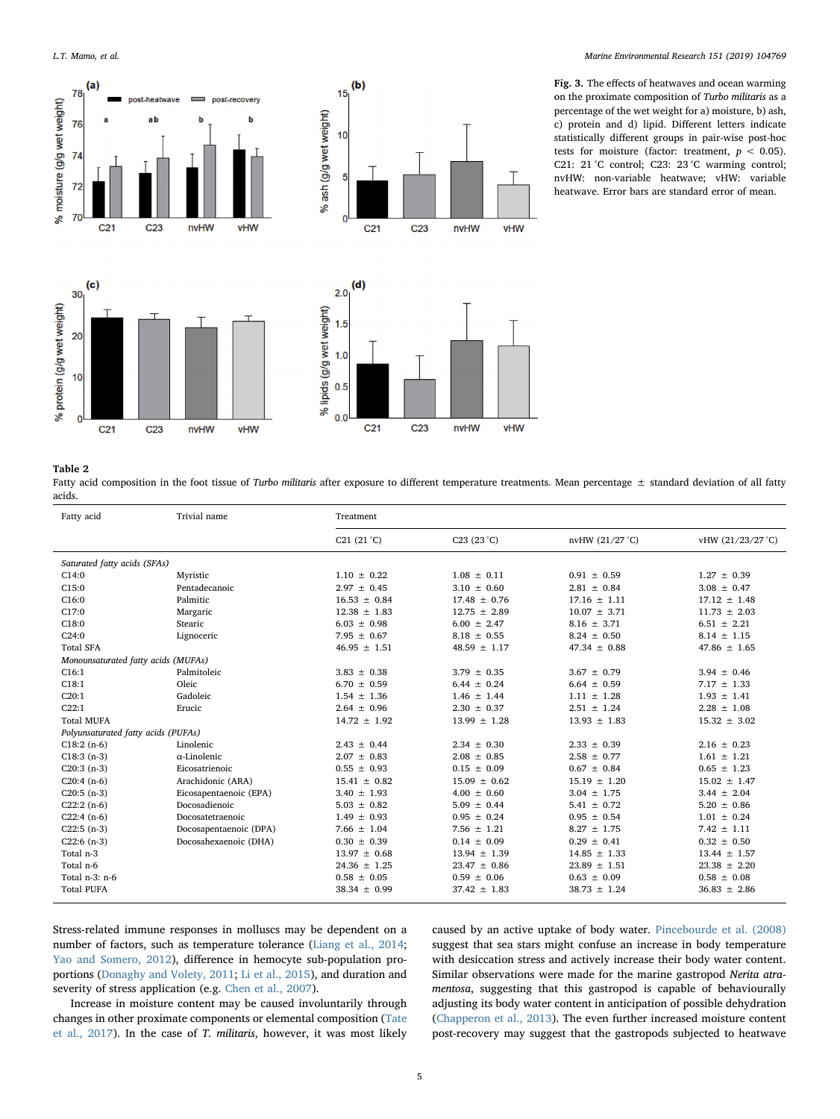<span id="page-4-0"></span>



 $(b)$ 

 $15<sub>1</sub>$ 

Fig. 3. The effects of heatwaves and ocean warming on the proximate composition of Turbo militaris as a percentage of the wet weight for a) moisture, b) ash, c) protein and d) lipid. Different letters indicate statistically different groups in pair-wise post-hoc tests for moisture (factor: treatment,  $p < 0.05$ ). C21: 21 °C control; C23: 23 °C warming control; nvHW: non-variable heatwave; vHW: variable heatwave. Error bars are standard error of mean.

# <span id="page-4-1"></span>Table 2

 $\Omega$ 

 $C<sub>21</sub>$ 

 $C<sub>23</sub>$ 

nvHW

vHW

వ్

Fatty acid composition in the foot tissue of Turbo militaris after exposure to different temperature treatments. Mean percentage ± standard deviation of all fatty acids.

| Fatty acid                          | Trivial name           | Treatment            |                  |                  |                   |  |
|-------------------------------------|------------------------|----------------------|------------------|------------------|-------------------|--|
|                                     |                        | C21 $(21 \degree C)$ | C23 (23 °C)      | nvHW (21/27 °C)  | vHW (21/23/27 °C) |  |
| Saturated fatty acids (SFAs)        |                        |                      |                  |                  |                   |  |
| C14:0                               | Myristic               | $1.10 \pm 0.22$      | $1.08 \pm 0.11$  | $0.91 \pm 0.59$  | $1.27 \pm 0.39$   |  |
| C15:0                               | Pentadecanoic          | $2.97 \pm 0.45$      | $3.10 \pm 0.60$  | $2.81 \pm 0.84$  | $3.08 \pm 0.47$   |  |
| C16:0                               | Palmitic               | $16.53 \pm 0.84$     | $17.48 \pm 0.76$ | $17.16 \pm 1.11$ | $17.12 \pm 1.48$  |  |
| C17:0                               | Margaric               | $12.38 \pm 1.83$     | $12.75 \pm 2.89$ | $10.07 \pm 3.71$ | $11.73 \pm 2.03$  |  |
| C18:0                               | Stearic                | $6.03 \pm 0.98$      | $6.00 \pm 2.47$  | $8.16 \pm 3.71$  | $6.51 \pm 2.21$   |  |
| C24:0                               | Lignoceric             | $7.95 \pm 0.67$      | $8.18 \pm 0.55$  | $8.24 \pm 0.50$  | $8.14 \pm 1.15$   |  |
| <b>Total SFA</b>                    |                        | $46.95 \pm 1.51$     | $48.59 \pm 1.17$ | 47.34 $\pm$ 0.88 | $47.86 \pm 1.65$  |  |
| Monounsaturated fatty acids (MUFAs) |                        |                      |                  |                  |                   |  |
| C16:1                               | Palmitoleic            | $3.83 \pm 0.38$      | $3.79 \pm 0.35$  | $3.67 \pm 0.79$  | $3.94 \pm 0.46$   |  |
| C18:1                               | Oleic                  | $6.70 \pm 0.59$      | $6.44 \pm 0.24$  | $6.64 \pm 0.59$  | $7.17 \pm 1.33$   |  |
| C20:1                               | Gadoleic               | $1.54 \pm 1.36$      | $1.46 \pm 1.44$  | $1.11 \pm 1.28$  | $1.93 \pm 1.41$   |  |
| C22:1                               | Erucic                 | $2.64 \pm 0.96$      | $2.30 \pm 0.37$  | $2.51 \pm 1.24$  | $2.28 \pm 1.08$   |  |
| <b>Total MUFA</b>                   |                        | $14.72 \pm 1.92$     | $13.99 \pm 1.28$ | $13.93 \pm 1.83$ | $15.32 \pm 3.02$  |  |
| Polyunsaturated fatty acids (PUFAs) |                        |                      |                  |                  |                   |  |
| $C18:2(n-6)$                        | Linolenic              | $2.43 \pm 0.44$      | $2.34 \pm 0.30$  | $2.33 \pm 0.39$  | $2.16 \pm 0.23$   |  |
| $C18:3(n-3)$                        | $\alpha$ -Linolenic    | $2.07 \pm 0.83$      | $2.08 \pm 0.85$  | $2.58 \pm 0.77$  | $1.61 \pm 1.21$   |  |
| $C20:3(n-3)$                        | Eicosatrienoic         | $0.55 \pm 0.93$      | $0.15 \pm 0.09$  | $0.67 \pm 0.84$  | $0.65 \pm 1.23$   |  |
| $C20:4(n-6)$                        | Arachidonic (ARA)      | $15.41 \pm 0.82$     | $15.09 \pm 0.62$ | $15.19 \pm 1.20$ | $15.02 \pm 1.47$  |  |
| $C20:5(n-3)$                        | Eicosapentaenoic (EPA) | $3.40 \pm 1.93$      | $4.00 \pm 0.60$  | $3.04 \pm 1.75$  | $3.44 \pm 2.04$   |  |
| $C22:2(n-6)$                        | Docosadienoic          | $5.03 \pm 0.82$      | $5.09 \pm 0.44$  | $5.41 \pm 0.72$  | $5.20 \pm 0.86$   |  |
| $C22:4(n-6)$                        | Docosatetraenoic       | $1.49 \pm 0.93$      | $0.95 \pm 0.24$  | $0.95 \pm 0.54$  | $1.01 \pm 0.24$   |  |
| $C22:5(n-3)$                        | Docosapentaenoic (DPA) | $7.66 \pm 1.04$      | $7.56 \pm 1.21$  | $8.27 \pm 1.75$  | $7.42 \pm 1.11$   |  |
| $C22:6(n-3)$                        | Docosahexaenoic (DHA)  | $0.30 \pm 0.39$      | $0.14 \pm 0.09$  | $0.29 \pm 0.41$  | $0.32 \pm 0.50$   |  |
| Total n-3                           |                        | $13.97 \pm 0.68$     | $13.94 \pm 1.39$ | $14.85 \pm 1.33$ | $13.44 \pm 1.57$  |  |
| Total n-6                           |                        | $24.36 \pm 1.25$     | $23.47 \pm 0.86$ | $23.89 \pm 1.51$ | $23.38 \pm 2.20$  |  |
| Total n-3: n-6                      |                        | $0.58 \pm 0.05$      | $0.59 \pm 0.06$  | $0.63 \pm 0.09$  | $0.58 \pm 0.08$   |  |
| <b>Total PUFA</b>                   |                        | $38.34 \pm 0.99$     | $37.42 \pm 1.83$ | $38.73 \pm 1.24$ | $36.83 \pm 2.86$  |  |

Stress-related immune responses in molluscs may be dependent on a number of factors, such as temperature tolerance [\(Liang et al., 2014](#page-7-32); [Yao and Somero, 2012\)](#page-7-33), difference in hemocyte sub-population proportions ([Donaghy and Volety, 2011;](#page-6-10) [Li et al., 2015](#page-7-30)), and duration and severity of stress application (e.g. [Chen et al., 2007](#page-6-11)).

Increase in moisture content may be caused involuntarily through changes in other proximate components or elemental composition [\(Tate](#page-7-15) [et al., 2017](#page-7-15)). In the case of T. militaris, however, it was most likely

caused by an active uptake of body water. [Pincebourde et al. \(2008\)](#page-7-34) suggest that sea stars might confuse an increase in body temperature with desiccation stress and actively increase their body water content. Similar observations were made for the marine gastropod Nerita atramentosa, suggesting that this gastropod is capable of behaviourally adjusting its body water content in anticipation of possible dehydration ([Chapperon et al., 2013](#page-6-12)). The even further increased moisture content post-recovery may suggest that the gastropods subjected to heatwave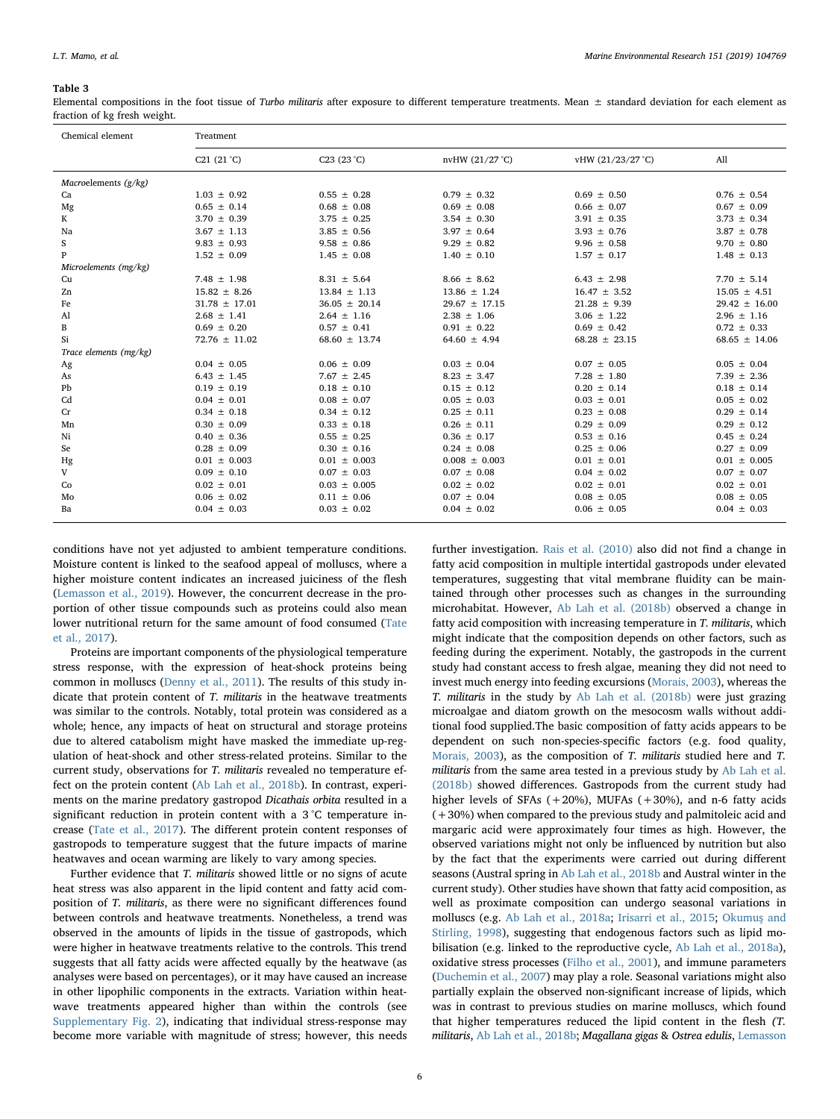## <span id="page-5-0"></span>Table 3

Elemental compositions in the foot tissue of Turbo militaris after exposure to different temperature treatments. Mean  $\pm$  standard deviation for each element as fraction of kg fresh weight.

| Chemical element       | Treatment                        |                   |                   |                   |                   |  |  |
|------------------------|----------------------------------|-------------------|-------------------|-------------------|-------------------|--|--|
|                        | C <sub>21</sub> $(21 \degree C)$ | C23 (23 °C)       | nvHW (21/27 °C)   | vHW (21/23/27 °C) | All               |  |  |
| Macroelements $(g/kg)$ |                                  |                   |                   |                   |                   |  |  |
| Ca                     | $1.03 \pm 0.92$                  | $0.55 \pm 0.28$   | $0.79 \pm 0.32$   | $0.69 \pm 0.50$   | $0.76 \pm 0.54$   |  |  |
| Mg                     | $0.65 \pm 0.14$                  | $0.68 \pm 0.08$   | $0.69 \pm 0.08$   | $0.66 \pm 0.07$   | $0.67 \pm 0.09$   |  |  |
| K                      | $3.70 \pm 0.39$                  | $3.75 \pm 0.25$   | $3.54 \pm 0.30$   | $3.91 \pm 0.35$   | $3.73 \pm 0.34$   |  |  |
| Na                     | $3.67 \pm 1.13$                  | $3.85 \pm 0.56$   | $3.97 \pm 0.64$   | $3.93 \pm 0.76$   | $3.87 \pm 0.78$   |  |  |
| S                      | $9.83 \pm 0.93$                  | $9.58 \pm 0.86$   | $9.29 \pm 0.82$   | $9.96 \pm 0.58$   | $9.70 \pm 0.80$   |  |  |
| P                      | $1.52 \pm 0.09$                  | $1.45 \pm 0.08$   | $1.40 \pm 0.10$   | $1.57 \pm 0.17$   | $1.48 \pm 0.13$   |  |  |
| Microelements (mg/kg)  |                                  |                   |                   |                   |                   |  |  |
| Cu                     | $7.48 \pm 1.98$                  | $8.31 \pm 5.64$   | $8.66 \pm 8.62$   | $6.43 \pm 2.98$   | $7.70 \pm 5.14$   |  |  |
| Zn                     | $15.82 \pm 8.26$                 | $13.84 \pm 1.13$  | $13.86 \pm 1.24$  | $16.47 \pm 3.52$  | $15.05 \pm 4.51$  |  |  |
| Fe                     | $31.78 \pm 17.01$                | $36.05 \pm 20.14$ | $29.67 \pm 17.15$ | $21.28 \pm 9.39$  | $29.42 \pm 16.00$ |  |  |
| Al                     | $2.68 \pm 1.41$                  | $2.64 \pm 1.16$   | $2.38 \pm 1.06$   | $3.06 \pm 1.22$   | $2.96 \pm 1.16$   |  |  |
| B                      | $0.69 \pm 0.20$                  | $0.57 \pm 0.41$   | $0.91 \pm 0.22$   | $0.69 \pm 0.42$   | $0.72 \pm 0.33$   |  |  |
| Si                     | $72.76 \pm 11.02$                | $68.60 \pm 13.74$ | $64.60 \pm 4.94$  | $68.28 \pm 23.15$ | $68.65 \pm 14.06$ |  |  |
| Trace elements (mg/kg) |                                  |                   |                   |                   |                   |  |  |
| Ag                     | $0.04 \pm 0.05$                  | $0.06 \pm 0.09$   | $0.03 \pm 0.04$   | $0.07 \pm 0.05$   | $0.05 \pm 0.04$   |  |  |
| As                     | $6.43 \pm 1.45$                  | $7.67 \pm 2.45$   | $8.23 \pm 3.47$   | $7.28 \pm 1.80$   | 7.39 $\pm$ 2.36   |  |  |
| Pb                     | $0.19 \pm 0.19$                  | $0.18 \pm 0.10$   | $0.15 \pm 0.12$   | $0.20 \pm 0.14$   | $0.18 \pm 0.14$   |  |  |
| Cd                     | $0.04 \pm 0.01$                  | $0.08 \pm 0.07$   | $0.05 \pm 0.03$   | $0.03 \pm 0.01$   | $0.05 \pm 0.02$   |  |  |
| Cr                     | $0.34 \pm 0.18$                  | $0.34 \pm 0.12$   | $0.25 \pm 0.11$   | $0.23 \pm 0.08$   | $0.29 \pm 0.14$   |  |  |
| Mn                     | $0.30 \pm 0.09$                  | $0.33 \pm 0.18$   | $0.26 \pm 0.11$   | $0.29 \pm 0.09$   | $0.29 \pm 0.12$   |  |  |
| Ni                     | $0.40 \pm 0.36$                  | $0.55 \pm 0.25$   | $0.36 \pm 0.17$   | $0.53 \pm 0.16$   | $0.45 \pm 0.24$   |  |  |
| Se                     | $0.28 \pm 0.09$                  | $0.30 \pm 0.16$   | $0.24 \pm 0.08$   | $0.25 \pm 0.06$   | $0.27 \pm 0.09$   |  |  |
| Hg                     | $0.01 \pm 0.003$                 | $0.01 \pm 0.003$  | $0.008 \pm 0.003$ | $0.01 \pm 0.01$   | $0.01 \pm 0.005$  |  |  |
| V                      | $0.09 \pm 0.10$                  | $0.07 \pm 0.03$   | $0.07 \pm 0.08$   | $0.04 \pm 0.02$   | $0.07 \pm 0.07$   |  |  |
| Co                     | $0.02 \pm 0.01$                  | $0.03 \pm 0.005$  | $0.02 \pm 0.02$   | $0.02 \pm 0.01$   | $0.02 \pm 0.01$   |  |  |
| Mo                     | $0.06 \pm 0.02$                  | $0.11 \pm 0.06$   | $0.07 \pm 0.04$   | $0.08 \pm 0.05$   | $0.08 \pm 0.05$   |  |  |
| Ba                     | $0.04 \pm 0.03$                  | $0.03 \pm 0.02$   | $0.04 \pm 0.02$   | $0.06 \pm 0.05$   | $0.04 \pm 0.03$   |  |  |

conditions have not yet adjusted to ambient temperature conditions. Moisture content is linked to the seafood appeal of molluscs, where a higher moisture content indicates an increased juiciness of the flesh ([Lemasson et al., 2019](#page-7-14)). However, the concurrent decrease in the proportion of other tissue compounds such as proteins could also mean lower nutritional return for the same amount of food consumed [\(Tate](#page-7-15) [et al., 2017](#page-7-15)).

Proteins are important components of the physiological temperature stress response, with the expression of heat-shock proteins being common in molluscs [\(Denny et al., 2011\)](#page-6-13). The results of this study indicate that protein content of T. militaris in the heatwave treatments was similar to the controls. Notably, total protein was considered as a whole; hence, any impacts of heat on structural and storage proteins due to altered catabolism might have masked the immediate up-regulation of heat-shock and other stress-related proteins. Similar to the current study, observations for T. militaris revealed no temperature effect on the protein content [\(Ab Lah et al., 2018b\)](#page-6-4). In contrast, experiments on the marine predatory gastropod Dicathais orbita resulted in a significant reduction in protein content with a 3 °C temperature increase ([Tate et al., 2017\)](#page-7-15). The different protein content responses of gastropods to temperature suggest that the future impacts of marine heatwaves and ocean warming are likely to vary among species.

Further evidence that T. militaris showed little or no signs of acute heat stress was also apparent in the lipid content and fatty acid composition of T. militaris, as there were no significant differences found between controls and heatwave treatments. Nonetheless, a trend was observed in the amounts of lipids in the tissue of gastropods, which were higher in heatwave treatments relative to the controls. This trend suggests that all fatty acids were affected equally by the heatwave (as analyses were based on percentages), or it may have caused an increase in other lipophilic components in the extracts. Variation within heatwave treatments appeared higher than within the controls (see Supplementary Fig. 2), indicating that individual stress-response may become more variable with magnitude of stress; however, this needs further investigation. [Rais et al. \(2010\)](#page-7-35) also did not find a change in fatty acid composition in multiple intertidal gastropods under elevated temperatures, suggesting that vital membrane fluidity can be maintained through other processes such as changes in the surrounding microhabitat. However, [Ab Lah et al. \(2018b\)](#page-6-4) observed a change in fatty acid composition with increasing temperature in T. militaris, which might indicate that the composition depends on other factors, such as feeding during the experiment. Notably, the gastropods in the current study had constant access to fresh algae, meaning they did not need to invest much energy into feeding excursions [\(Morais, 2003](#page-7-36)), whereas the T. militaris in the study by [Ab Lah et al. \(2018b\)](#page-6-4) were just grazing microalgae and diatom growth on the mesocosm walls without additional food supplied.The basic composition of fatty acids appears to be dependent on such non-species-specific factors (e.g. food quality, [Morais, 2003](#page-7-36)), as the composition of T. militaris studied here and T. militaris from the same area tested in a previous study by [Ab Lah et al.](#page-6-4) [\(2018b\)](#page-6-4) showed differences. Gastropods from the current study had higher levels of SFAs  $(+20\%)$ , MUFAs  $(+30\%)$ , and n-6 fatty acids (+30%) when compared to the previous study and palmitoleic acid and margaric acid were approximately four times as high. However, the observed variations might not only be influenced by nutrition but also by the fact that the experiments were carried out during different seasons (Austral spring in [Ab Lah et al., 2018b](#page-6-4) and Austral winter in the current study). Other studies have shown that fatty acid composition, as well as proximate composition can undergo seasonal variations in molluscs (e.g. [Ab Lah et al., 2018a](#page-6-2); [Irisarri et al., 2015](#page-7-37); [Okumu](#page-7-24)ş and [Stirling, 1998](#page-7-24)), suggesting that endogenous factors such as lipid mobilisation (e.g. linked to the reproductive cycle, [Ab Lah et al., 2018a](#page-6-2)), oxidative stress processes [\(Filho et al., 2001](#page-7-38)), and immune parameters ([Duchemin et al., 2007](#page-6-14)) may play a role. Seasonal variations might also partially explain the observed non-significant increase of lipids, which was in contrast to previous studies on marine molluscs, which found that higher temperatures reduced the lipid content in the flesh (T. militaris, [Ab Lah et al., 2018b;](#page-6-4) Magallana gigas & Ostrea edulis, [Lemasson](#page-7-14)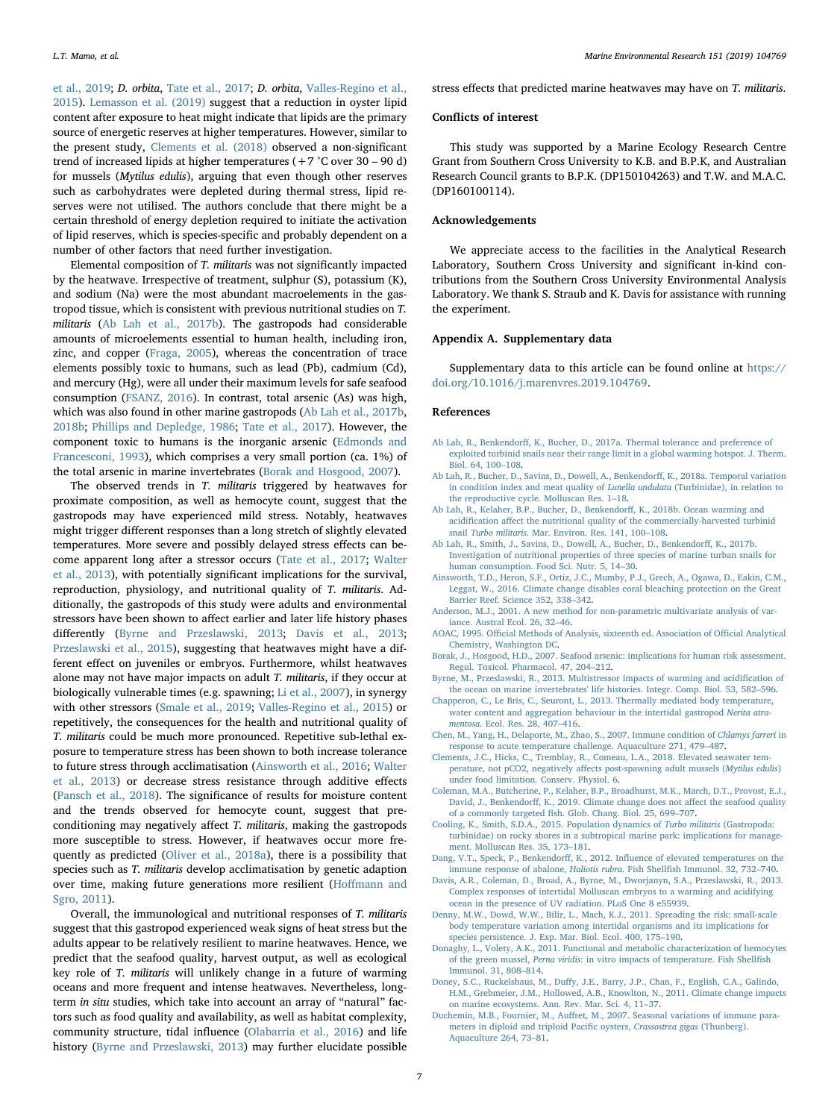L.T. Mamo, et al. *Marine Environmental Research 151 (2019) 104769*

[et al., 2019;](#page-7-14) D. orbita, [Tate et al., 2017;](#page-7-15) D. orbita, [Valles-Regino et al.,](#page-7-16) [2015\)](#page-7-16). [Lemasson et al. \(2019\)](#page-7-14) suggest that a reduction in oyster lipid content after exposure to heat might indicate that lipids are the primary source of energetic reserves at higher temperatures. However, similar to the present study, [Clements et al. \(2018\)](#page-6-15) observed a non-significant trend of increased lipids at higher temperatures (+7 °C over 30 – 90 d) for mussels (Mytilus edulis), arguing that even though other reserves such as carbohydrates were depleted during thermal stress, lipid reserves were not utilised. The authors conclude that there might be a certain threshold of energy depletion required to initiate the activation of lipid reserves, which is species-specific and probably dependent on a number of other factors that need further investigation.

Elemental composition of T. militaris was not significantly impacted by the heatwave. Irrespective of treatment, sulphur (S), potassium (K), and sodium (Na) were the most abundant macroelements in the gastropod tissue, which is consistent with previous nutritional studies on T. militaris ([Ab Lah et al., 2017b\)](#page-6-1). The gastropods had considerable amounts of microelements essential to human health, including iron, zinc, and copper [\(Fraga, 2005](#page-7-39)), whereas the concentration of trace elements possibly toxic to humans, such as lead (Pb), cadmium (Cd), and mercury (Hg), were all under their maximum levels for safe seafood consumption [\(FSANZ, 2016\)](#page-7-40). In contrast, total arsenic (As) was high, which was also found in other marine gastropods [\(Ab Lah et al., 2017b](#page-6-1), [2018b;](#page-6-4) [Phillips and Depledge, 1986;](#page-7-41) [Tate et al., 2017](#page-7-15)). However, the component toxic to humans is the inorganic arsenic [\(Edmonds and](#page-7-42) [Francesconi, 1993](#page-7-42)), which comprises a very small portion (ca. 1%) of the total arsenic in marine invertebrates ([Borak and Hosgood, 2007](#page-6-16)).

The observed trends in T. militaris triggered by heatwaves for proximate composition, as well as hemocyte count, suggest that the gastropods may have experienced mild stress. Notably, heatwaves might trigger different responses than a long stretch of slightly elevated temperatures. More severe and possibly delayed stress effects can become apparent long after a stressor occurs ([Tate et al., 2017;](#page-7-15) [Walter](#page-7-43) [et al., 2013\)](#page-7-43), with potentially significant implications for the survival, reproduction, physiology, and nutritional quality of T. militaris. Additionally, the gastropods of this study were adults and environmental stressors have been shown to affect earlier and later life history phases differently ([Byrne and Przeslawski, 2013;](#page-6-17) Davis [et al., 2013](#page-6-18); [Przeslawski et al., 2015](#page-7-44)), suggesting that heatwaves might have a different effect on juveniles or embryos. Furthermore, whilst heatwaves alone may not have major impacts on adult T. militaris, if they occur at biologically vulnerable times (e.g. spawning; [Li et al., 2007](#page-7-45)), in synergy with other stressors [\(Smale et al., 2019](#page-7-3); [Valles-Regino et al., 2015](#page-7-16)) or repetitively, the consequences for the health and nutritional quality of T. militaris could be much more pronounced. Repetitive sub-lethal exposure to temperature stress has been shown to both increase tolerance to future stress through acclimatisation ([Ainsworth et al., 2016;](#page-6-19) [Walter](#page-7-43) [et al., 2013](#page-7-43)) or decrease stress resistance through additive effects ([Pansch et al., 2018\)](#page-7-46). The significance of results for moisture content and the trends observed for hemocyte count, suggest that preconditioning may negatively affect T. militaris, making the gastropods more susceptible to stress. However, if heatwaves occur more frequently as predicted ([Oliver et al., 2018a\)](#page-7-47), there is a possibility that species such as T. militaris develop acclimatisation by genetic adaption over time, making future generations more resilient (Hoff[mann and](#page-7-48) [Sgro, 2011](#page-7-48)).

Overall, the immunological and nutritional responses of T. militaris suggest that this gastropod experienced weak signs of heat stress but the adults appear to be relatively resilient to marine heatwaves. Hence, we predict that the seafood quality, harvest output, as well as ecological key role of T. militaris will unlikely change in a future of warming oceans and more frequent and intense heatwaves. Nevertheless, longterm in situ studies, which take into account an array of "natural" factors such as food quality and availability, as well as habitat complexity, community structure, tidal influence [\(Olabarria et al., 2016\)](#page-7-49) and life history [\(Byrne and Przeslawski, 2013\)](#page-6-17) may further elucidate possible stress effects that predicted marine heatwaves may have on T. militaris.

# Conflicts of interest

This study was supported by a Marine Ecology Research Centre Grant from Southern Cross University to K.B. and B.P.K, and Australian Research Council grants to B.P.K. (DP150104263) and T.W. and M.A.C. (DP160100114).

# Acknowledgements

We appreciate access to the facilities in the Analytical Research Laboratory, Southern Cross University and significant in-kind contributions from the Southern Cross University Environmental Analysis Laboratory. We thank S. Straub and K. Davis for assistance with running the experiment.

# Appendix A. Supplementary data

Supplementary data to this article can be found online at [https://](https://doi.org/10.1016/j.marenvres.2019.104769) [doi.org/10.1016/j.marenvres.2019.104769](https://doi.org/10.1016/j.marenvres.2019.104769).

## References

- <span id="page-6-6"></span>Ab Lah, R., Benkendorff[, K., Bucher, D., 2017a. Thermal tolerance and preference of](http://refhub.elsevier.com/S0141-1136(19)30289-2/sref1) [exploited turbinid snails near their range limit in a global warming hotspot. J. Therm.](http://refhub.elsevier.com/S0141-1136(19)30289-2/sref1) [Biol. 64, 100](http://refhub.elsevier.com/S0141-1136(19)30289-2/sref1)–108.
- <span id="page-6-2"></span>[Ab Lah, R., Bucher, D., Savins, D., Dowell, A., Benkendor](http://refhub.elsevier.com/S0141-1136(19)30289-2/sref2)ff, K., 2018a. Temporal variation [in condition index and meat quality of](http://refhub.elsevier.com/S0141-1136(19)30289-2/sref2) Lunella undulata (Turbinidae), in relation to [the reproductive cycle. Molluscan Res. 1](http://refhub.elsevier.com/S0141-1136(19)30289-2/sref2)–18.
- <span id="page-6-4"></span>[Ab Lah, R., Kelaher, B.P., Bucher, D., Benkendor](http://refhub.elsevier.com/S0141-1136(19)30289-2/sref3)ff, K., 2018b. Ocean warming and acidification aff[ect the nutritional quality of the commercially-harvested turbinid](http://refhub.elsevier.com/S0141-1136(19)30289-2/sref3) snail Turbo militaris[. Mar. Environ. Res. 141, 100](http://refhub.elsevier.com/S0141-1136(19)30289-2/sref3)–108.
- <span id="page-6-1"></span>[Ab Lah, R., Smith, J., Savins, D., Dowell, A., Bucher, D., Benkendor](http://refhub.elsevier.com/S0141-1136(19)30289-2/sref4)ff, K., 2017b. [Investigation of nutritional properties of three species of marine turban snails for](http://refhub.elsevier.com/S0141-1136(19)30289-2/sref4) [human consumption. Food Sci. Nutr. 5, 14](http://refhub.elsevier.com/S0141-1136(19)30289-2/sref4)–30.
- <span id="page-6-19"></span>[Ainsworth, T.D., Heron, S.F., Ortiz, J.C., Mumby, P.J., Grech, A., Ogawa, D., Eakin, C.M.,](http://refhub.elsevier.com/S0141-1136(19)30289-2/sref5) [Leggat, W., 2016. Climate change disables coral bleaching protection on the Great](http://refhub.elsevier.com/S0141-1136(19)30289-2/sref5) [Barrier Reef. Science 352, 338](http://refhub.elsevier.com/S0141-1136(19)30289-2/sref5)–342.
- <span id="page-6-9"></span>[Anderson, M.J., 2001. A new method for non-parametric multivariate analysis of var](http://refhub.elsevier.com/S0141-1136(19)30289-2/sref6)[iance. Austral Ecol. 26, 32](http://refhub.elsevier.com/S0141-1136(19)30289-2/sref6)–46.
- <span id="page-6-8"></span>AOAC, 1995. Offi[cial Methods of Analysis, sixteenth ed. Association of O](http://refhub.elsevier.com/S0141-1136(19)30289-2/sref7)fficial Analytical [Chemistry, Washington DC](http://refhub.elsevier.com/S0141-1136(19)30289-2/sref7).
- <span id="page-6-16"></span>[Borak, J., Hosgood, H.D., 2007. Seafood arsenic: implications for human risk assessment.](http://refhub.elsevier.com/S0141-1136(19)30289-2/sref8) [Regul. Toxicol. Pharmacol. 47, 204](http://refhub.elsevier.com/S0141-1136(19)30289-2/sref8)–212.

<span id="page-6-17"></span>[Byrne, M., Przeslawski, R., 2013. Multistressor impacts of warming and acidi](http://refhub.elsevier.com/S0141-1136(19)30289-2/sref9)fication of [the ocean on marine invertebrates' life histories. Integr. Comp. Biol. 53, 582](http://refhub.elsevier.com/S0141-1136(19)30289-2/sref9)–596.

- <span id="page-6-12"></span>[Chapperon, C., Le Bris, C., Seuront, L., 2013. Thermally mediated body temperature,](http://refhub.elsevier.com/S0141-1136(19)30289-2/sref10) [water content and aggregation behaviour in the intertidal gastropod](http://refhub.elsevier.com/S0141-1136(19)30289-2/sref10) Nerita atramentosa[. Ecol. Res. 28, 407](http://refhub.elsevier.com/S0141-1136(19)30289-2/sref10)–416.
- <span id="page-6-11"></span>[Chen, M., Yang, H., Delaporte, M., Zhao, S., 2007. Immune condition of](http://refhub.elsevier.com/S0141-1136(19)30289-2/sref11) Chlamys farreri in [response to acute temperature challenge. Aquaculture 271, 479](http://refhub.elsevier.com/S0141-1136(19)30289-2/sref11)–487.
- <span id="page-6-15"></span>[Clements, J.C., Hicks, C., Tremblay, R., Comeau, L.A., 2018. Elevated seawater tem](http://refhub.elsevier.com/S0141-1136(19)30289-2/sref12)perature, not pCO2, negatively aff[ects post-spawning adult mussels \(](http://refhub.elsevier.com/S0141-1136(19)30289-2/sref12)Mytilus edulis) [under food limitation. Conserv. Physiol. 6](http://refhub.elsevier.com/S0141-1136(19)30289-2/sref12).
- <span id="page-6-3"></span>[Coleman, M.A., Butcherine, P., Kelaher, B.P., Broadhurst, M.K., March, D.T., Provost, E.J.,](http://refhub.elsevier.com/S0141-1136(19)30289-2/sref13) David, J., Benkendorff[, K., 2019. Climate change does not a](http://refhub.elsevier.com/S0141-1136(19)30289-2/sref13)ffect the seafood quality of a commonly targeted fi[sh. Glob. Chang. Biol. 25, 699](http://refhub.elsevier.com/S0141-1136(19)30289-2/sref13)–707.
- <span id="page-6-5"></span>Cooling, [K., Smith, S.D.A., 2015. Population dynamics of](http://refhub.elsevier.com/S0141-1136(19)30289-2/sref14) Turbo militaris (Gastropoda: [turbinidae\) on rocky shores in a subtropical marine park: implications for manage](http://refhub.elsevier.com/S0141-1136(19)30289-2/sref14)[ment. Molluscan Res. 35, 173](http://refhub.elsevier.com/S0141-1136(19)30289-2/sref14)–181.
- <span id="page-6-7"></span>Dang, V.T., Speck, P., Benkendorff, K., 2012. Infl[uence of elevated temperatures on the](http://refhub.elsevier.com/S0141-1136(19)30289-2/sref15) [immune response of abalone,](http://refhub.elsevier.com/S0141-1136(19)30289-2/sref15) Haliotis rubra. Fish Shellfish Immunol. 32, 732–740.
- <span id="page-6-18"></span>[Davis, A.R., Coleman, D., Broad, A., Byrne, M., Dworjanyn, S.A., Przeslawski, R., 2013.](http://refhub.elsevier.com/S0141-1136(19)30289-2/sref16) [Complex responses of intertidal Molluscan embryos to a warming and acidifying](http://refhub.elsevier.com/S0141-1136(19)30289-2/sref16) [ocean in the presence of UV radiation. PLoS One 8 e55939](http://refhub.elsevier.com/S0141-1136(19)30289-2/sref16).
- <span id="page-6-13"></span>[Denny, M.W., Dowd, W.W., Bilir, L., Mach, K.J., 2011. Spreading the risk: small-scale](http://refhub.elsevier.com/S0141-1136(19)30289-2/sref17) [body temperature variation among intertidal organisms and its implications for](http://refhub.elsevier.com/S0141-1136(19)30289-2/sref17) [species persistence. J. Exp. Mar. Biol. Ecol. 400, 175](http://refhub.elsevier.com/S0141-1136(19)30289-2/sref17)–190.
- <span id="page-6-10"></span>[Donaghy, L., Volety, A.K., 2011. Functional and metabolic characterization of hemocytes](http://refhub.elsevier.com/S0141-1136(19)30289-2/sref18) of the green mussel, Perna viridis[: in vitro impacts of temperature. Fish Shell](http://refhub.elsevier.com/S0141-1136(19)30289-2/sref18)fish [Immunol. 31, 808](http://refhub.elsevier.com/S0141-1136(19)30289-2/sref18)–814.
- <span id="page-6-0"></span>Doney, S.C., Ruckelshaus, M., Duff[y, J.E., Barry, J.P., Chan, F., English, C.A., Galindo,](http://refhub.elsevier.com/S0141-1136(19)30289-2/sref19) [H.M., Grebmeier, J.M., Hollowed, A.B., Knowlton, N., 2011. Climate change impacts](http://refhub.elsevier.com/S0141-1136(19)30289-2/sref19) [on marine ecosystems. Ann. Rev. Mar. Sci. 4, 11](http://refhub.elsevier.com/S0141-1136(19)30289-2/sref19)–37.
- <span id="page-6-14"></span>Duchemin, M.B., Fournier, M., Auff[ret, M., 2007. Seasonal variations of immune para](http://refhub.elsevier.com/S0141-1136(19)30289-2/sref20)[meters in diploid and triploid Paci](http://refhub.elsevier.com/S0141-1136(19)30289-2/sref20)fic oysters, Crassostrea gigas (Thunberg). [Aquaculture 264, 73](http://refhub.elsevier.com/S0141-1136(19)30289-2/sref20)–81.